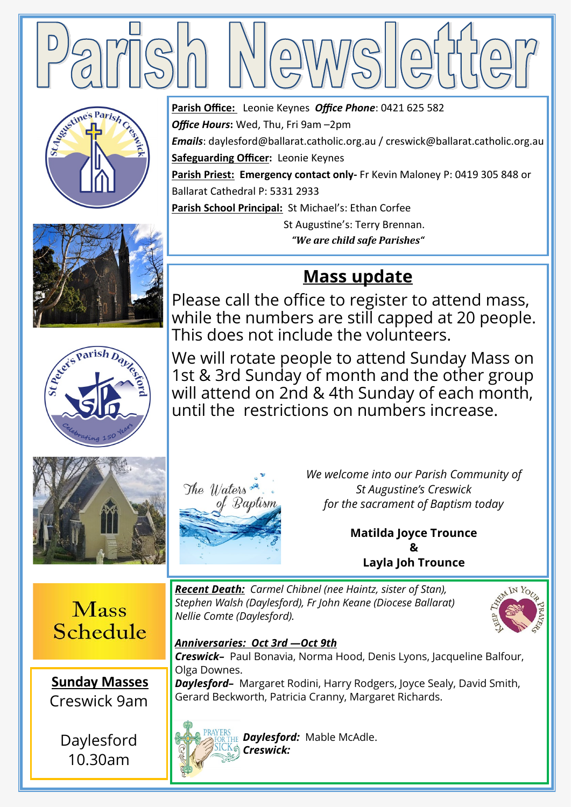

*Office Hours***:** Wed, Thu, Fri 9am –2pm

**Safeguarding Officer:** Leonie Keynes

Ballarat Cathedral P: 5331 2933

**Parish Office:** Leonie Keynes *Office Phone*: 0421 625 582

**Parish School Principal:** St Michael's: Ethan Corfee

This does not include the volunteers.

*Emails*: daylesford@ballarat.catholic.org.au / creswick@ballarat.catholic.org.au

**Parish Priest: Emergency contact only-** Fr Kevin Maloney P: 0419 305 848 or

 St Augustine's: Terry Brennan. *"We are child safe Parishes"*

**Mass update**

We will rotate people to attend Sunday Mass on 1st & 3rd Sunday of month and the other group will attend on 2nd & 4th Sunday of each month,

until the restrictions on numbers increase.









The Waters of Baptism *We welcome into our Parish Community of St Augustine's Creswick for the sacrament of Baptism today*

> **Matilda Joyce Trounce & Layla Joh Trounce**



**Sunday Masses**  Creswick 9am

Daylesford 10.30am

## *Recent Death: Carmel Chibnel (nee Haintz, sister of Stan), Stephen Walsh (Daylesford), Fr John Keane (Diocese Ballarat) Nellie Comte (Daylesford).*



# *Anniversaries: Oct 3rd —Oct 9th*

*Creswick–* Paul Bonavia, Norma Hood, Denis Lyons, Jacqueline Balfour, Olga Downes.

*Daylesford–* Margaret Rodini, Harry Rodgers, Joyce Sealy, David Smith, Gerard Beckworth, Patricia Cranny, Margaret Richards.



*Daylesford:* Mable McAdle. *Creswick:*